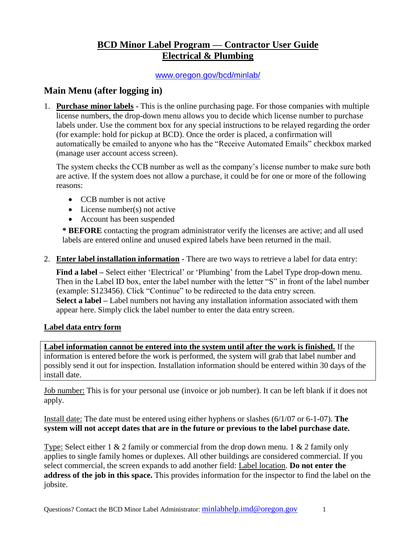# **BCD Minor Label Program — Contractor User Guide Electrical & Plumbing**

### [www.oregon.gov/bcd/minlab/](http://www.oregon.gov/bcd/minlab/)

## **Main Menu (after logging in)**

1. **Purchase minor labels -** This is the online purchasing page. For those companies with multiple license numbers, the drop-down menu allows you to decide which license number to purchase labels under. Use the comment box for any special instructions to be relayed regarding the order (for example: hold for pickup at BCD). Once the order is placed, a confirmation will automatically be emailed to anyone who has the "Receive Automated Emails" checkbox marked (manage user account access screen).

The system checks the CCB number as well as the company's license number to make sure both are active. If the system does not allow a purchase, it could be for one or more of the following reasons:

- CCB number is not active
- License number(s) not active
- Account has been suspended

**\* BEFORE** contacting the program administrator verify the licenses are active; and all used labels are entered online and unused expired labels have been returned in the mail.

2. **Enter label installation information -** There are two ways to retrieve a label for data entry:

**Find a label –** Select either 'Electrical' or 'Plumbing' from the Label Type drop-down menu. Then in the Label ID box, enter the label number with the letter "S" in front of the label number (example: S123456). Click "Continue" to be redirected to the data entry screen. **Select a label –** Label numbers not having any installation information associated with them appear here. Simply click the label number to enter the data entry screen.

## **Label data entry form**

**Label information cannot be entered into the system until after the work is finished.** If the information is entered before the work is performed, the system will grab that label number and possibly send it out for inspection. Installation information should be entered within 30 days of the install date.

Job number: This is for your personal use (invoice or job number). It can be left blank if it does not apply.

Install date: The date must be entered using either hyphens or slashes (6/1/07 or 6-1-07). **The system will not accept dates that are in the future or previous to the label purchase date.**

Type: Select either 1 & 2 family or commercial from the drop down menu. 1 & 2 family only applies to single family homes or duplexes. All other buildings are considered commercial. If you select commercial, the screen expands to add another field: Label location. **Do not enter the address of the job in this space.** This provides information for the inspector to find the label on the jobsite.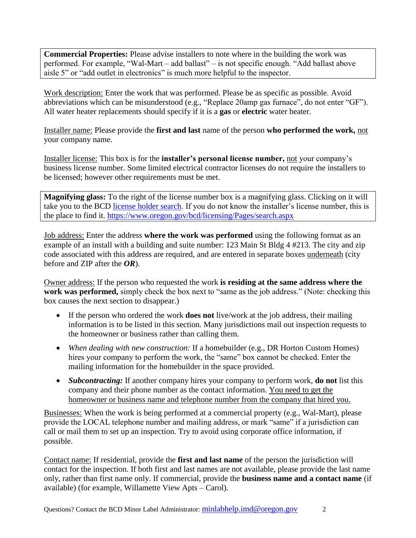**Commercial Properties:** Please advise installers to note where in the building the work was performed. For example, "Wal-Mart – add ballast" – is not specific enough. "Add ballast above aisle 5" or "add outlet in electronics" is much more helpful to the inspector.

Work description: Enter the work that was performed. Please be as specific as possible. Avoid abbreviations which can be misunderstood (e.g., "Replace 20amp gas furnace", do not enter "GF"). All water heater replacements should specify if it is a **gas** or **electric** water heater.

Installer name: Please provide the **first and last** name of the person **who performed the work,** not your company name.

Installer license: This box is for the **installer's personal license number,** not your company's business license number. Some limited electrical contractor licenses do not require the installers to be licensed; however other requirements must be met.

**Magnifying glass:** To the right of the license number box is a magnifying glass. Clicking on it will take you to the BCD [license holder search.](https://www.oregon.gov/bcd/licensing/Pages/search.aspx) If you do not know the installer's license number, this is the place to find it. <https://www.oregon.gov/bcd/licensing/Pages/search.aspx>

Job address: Enter the address **where the work was performed** using the following format as an example of an install with a building and suite number: 123 Main St Bldg 4 #213. The city and zip code associated with this address are required, and are entered in separate boxes underneath (city before and ZIP after the *OR*).

Owner address: If the person who requested the work **is residing at the same address where the work was performed,** simply check the box next to "same as the job address." (Note: checking this box causes the next section to disappear.)

- If the person who ordered the work **does not** live/work at the job address, their mailing information is to be listed in this section. Many jurisdictions mail out inspection requests to the homeowner or business rather than calling them.
- *When dealing with new construction:* If a homebuilder (e.g., DR Horton Custom Homes) hires your company to perform the work, the "same" box cannot be checked. Enter the mailing information for the homebuilder in the space provided.
- *Subcontracting:* If another company hires your company to perform work, **do not** list this company and their phone number as the contact information. You need to get the homeowner or business name and telephone number from the company that hired you.

Businesses: When the work is being performed at a commercial property (e.g., Wal-Mart), please provide the LOCAL telephone number and mailing address, or mark "same" if a jurisdiction can call or mail them to set up an inspection. Try to avoid using corporate office information, if possible.

Contact name: If residential, provide the **first and last name** of the person the jurisdiction will contact for the inspection. If both first and last names are not available, please provide the last name only, rather than first name only. If commercial, provide the **business name and a contact name** (if available) (for example, Willamette View Apts – Carol).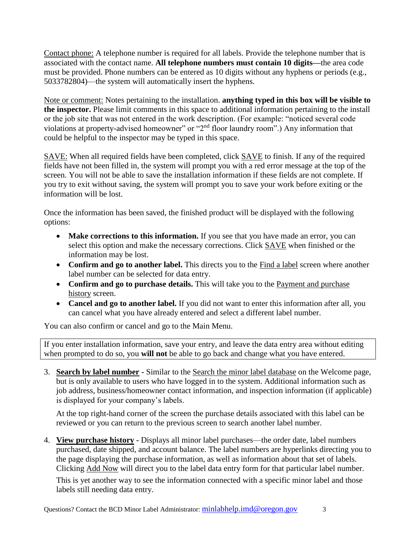Contact phone: A telephone number is required for all labels. Provide the telephone number that is associated with the contact name. **All telephone numbers must contain 10 digits—**the area code must be provided. Phone numbers can be entered as 10 digits without any hyphens or periods (e.g., 5033782804)—the system will automatically insert the hyphens.

Note or comment: Notes pertaining to the installation. **anything typed in this box will be visible to the inspector.** Please limit comments in this space to additional information pertaining to the install or the job site that was not entered in the work description. (For example: "noticed several code violations at property-advised homeowner" or "2<sup>nd</sup> floor laundry room".) Any information that could be helpful to the inspector may be typed in this space.

SAVE: When all required fields have been completed, click SAVE to finish. If any of the required fields have not been filled in, the system will prompt you with a red error message at the top of the screen. You will not be able to save the installation information if these fields are not complete. If you try to exit without saving, the system will prompt you to save your work before exiting or the information will be lost.

Once the information has been saved, the finished product will be displayed with the following options:

- Make corrections to this information. If you see that you have made an error, you can select this option and make the necessary corrections. Click SAVE when finished or the information may be lost.
- Confirm and go to another label. This directs you to the **Find a label screen where another** label number can be selected for data entry.
- **Confirm and go to purchase details.** This will take you to the Payment and purchase history screen.
- Cancel and go to another label. If you did not want to enter this information after all, you can cancel what you have already entered and select a different label number.

You can also confirm or cancel and go to the Main Menu.

If you enter installation information, save your entry, and leave the data entry area without editing when prompted to do so, you **will not** be able to go back and change what you have entered.

3. **Search by label number -** Similar to the Search the minor label database on the Welcome page, but is only available to users who have logged in to the system. Additional information such as job address, business/homeowner contact information, and inspection information (if applicable) is displayed for your company's labels.

At the top right-hand corner of the screen the purchase details associated with this label can be reviewed or you can return to the previous screen to search another label number.

4. **View purchase history -** Displays all minor label purchases—the order date, label numbers purchased, date shipped, and account balance. The label numbers are hyperlinks directing you to the page displaying the purchase information, as well as information about that set of labels. Clicking Add Now will direct you to the label data entry form for that particular label number.

This is yet another way to see the information connected with a specific minor label and those labels still needing data entry.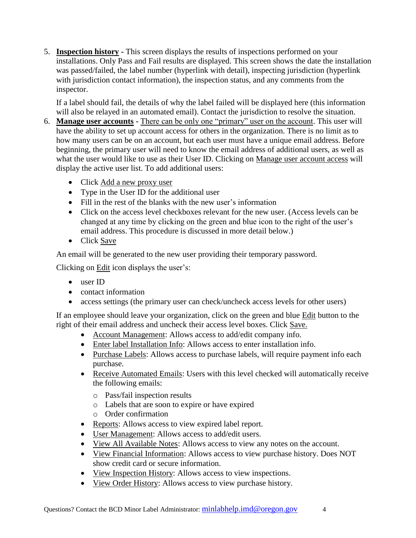5. **Inspection history -** This screen displays the results of inspections performed on your installations. Only Pass and Fail results are displayed. This screen shows the date the installation was passed/failed, the label number (hyperlink with detail), inspecting jurisdiction (hyperlink with jurisdiction contact information), the inspection status, and any comments from the inspector.

If a label should fail, the details of why the label failed will be displayed here (this information will also be relayed in an automated email). Contact the jurisdiction to resolve the situation.

- 6. **Manage user accounts -** There can be only one "primary" user on the account. This user will have the ability to set up account access for others in the organization. There is no limit as to how many users can be on an account, but each user must have a unique email address. Before beginning, the primary user will need to know the email address of additional users, as well as what the user would like to use as their User ID. Clicking on Manage user account access will display the active user list. To add additional users:
	- Click Add a new proxy user
	- Type in the User ID for the additional user
	- Fill in the rest of the blanks with the new user's information
	- Click on the access level checkboxes relevant for the new user. (Access levels can be changed at any time by clicking on the green and blue icon to the right of the user's email address. This procedure is discussed in more detail below.)
	- Click Save

An email will be generated to the new user providing their temporary password.

Clicking on Edit icon displays the user's:

- user ID
- contact information
- access settings (the primary user can check/uncheck access levels for other users)

If an employee should leave your organization, click on the green and blue Edit button to the right of their email address and uncheck their access level boxes. Click Save.

- Account Management: Allows access to add/edit company info.
- Enter label Installation Info: Allows access to enter installation info.
- Purchase Labels: Allows access to purchase labels, will require payment info each purchase.
- Receive Automated Emails: Users with this level checked will automatically receive the following emails:
	- o Pass/fail inspection results
	- o Labels that are soon to expire or have expired
	- o Order confirmation
- Reports: Allows access to view expired label report.
- User Management: Allows access to add/edit users.
- View All Available Notes: Allows access to view any notes on the account.
- View Financial Information: Allows access to view purchase history. Does NOT show credit card or secure information.
- View Inspection History: Allows access to view inspections.
- View Order History: Allows access to view purchase history.